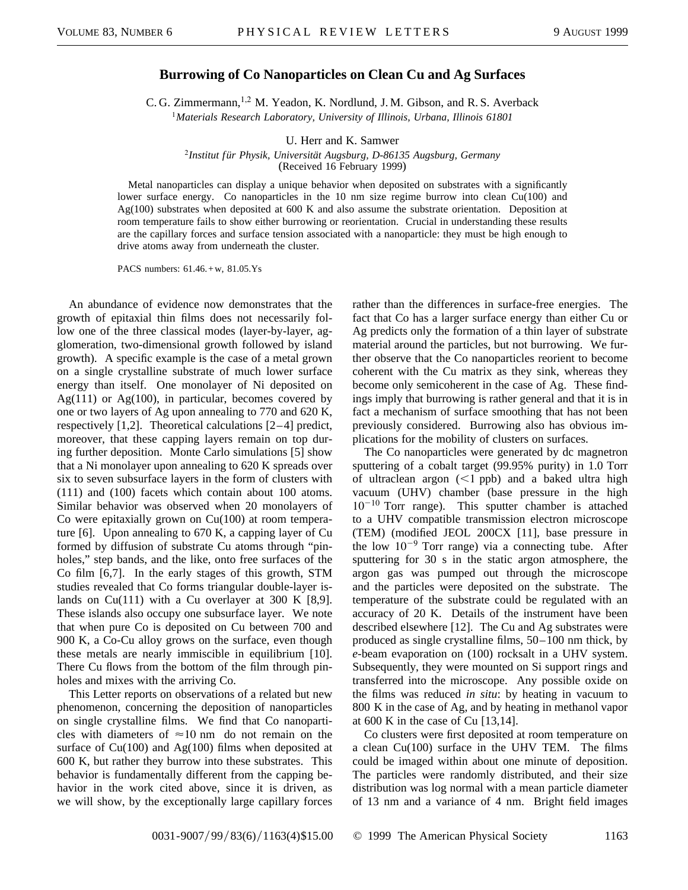## **Burrowing of Co Nanoparticles on Clean Cu and Ag Surfaces**

C. G. Zimmermann, <sup>1,2</sup> M. Yeadon, K. Nordlund, J. M. Gibson, and R. S. Averback <sup>1</sup>*Materials Research Laboratory, University of Illinois, Urbana, Illinois 61801*

U. Herr and K. Samwer

<sup>2</sup>*Institut für Physik, Universität Augsburg, D-86135 Augsburg, Germany* (Received 16 February 1999)

Metal nanoparticles can display a unique behavior when deposited on substrates with a significantly lower surface energy. Co nanoparticles in the 10 nm size regime burrow into clean  $Cu(100)$  and Ag(100) substrates when deposited at 600 K and also assume the substrate orientation. Deposition at room temperature fails to show either burrowing or reorientation. Crucial in understanding these results are the capillary forces and surface tension associated with a nanoparticle: they must be high enough to drive atoms away from underneath the cluster.

PACS numbers: 61.46.+w, 81.05.Ys

An abundance of evidence now demonstrates that the growth of epitaxial thin films does not necessarily follow one of the three classical modes (layer-by-layer, agglomeration, two-dimensional growth followed by island growth). A specific example is the case of a metal grown on a single crystalline substrate of much lower surface energy than itself. One monolayer of Ni deposited on  $Ag(111)$  or  $Ag(100)$ , in particular, becomes covered by one or two layers of Ag upon annealing to 770 and 620 K, respectively [1,2]. Theoretical calculations [2–4] predict, moreover, that these capping layers remain on top during further deposition. Monte Carlo simulations [5] show that a Ni monolayer upon annealing to 620 K spreads over six to seven subsurface layers in the form of clusters with (111) and (100) facets which contain about 100 atoms. Similar behavior was observed when 20 monolayers of Co were epitaxially grown on Cu(100) at room temperature [6]. Upon annealing to 670 K, a capping layer of Cu formed by diffusion of substrate Cu atoms through "pinholes," step bands, and the like, onto free surfaces of the Co film [6,7]. In the early stages of this growth, STM studies revealed that Co forms triangular double-layer islands on Cu(111) with a Cu overlayer at 300 K [8,9]. These islands also occupy one subsurface layer. We note that when pure Co is deposited on Cu between 700 and 900 K, a Co-Cu alloy grows on the surface, even though these metals are nearly immiscible in equilibrium [10]. There Cu flows from the bottom of the film through pinholes and mixes with the arriving Co.

This Letter reports on observations of a related but new phenomenon, concerning the deposition of nanoparticles on single crystalline films. We find that Co nanoparticles with diameters of  $\approx 10$  nm do not remain on the surface of  $Cu(100)$  and Ag $(100)$  films when deposited at 600 K, but rather they burrow into these substrates. This behavior is fundamentally different from the capping behavior in the work cited above, since it is driven, as we will show, by the exceptionally large capillary forces rather than the differences in surface-free energies. The fact that Co has a larger surface energy than either Cu or Ag predicts only the formation of a thin layer of substrate material around the particles, but not burrowing. We further observe that the Co nanoparticles reorient to become coherent with the Cu matrix as they sink, whereas they become only semicoherent in the case of Ag. These findings imply that burrowing is rather general and that it is in fact a mechanism of surface smoothing that has not been previously considered. Burrowing also has obvious implications for the mobility of clusters on surfaces.

The Co nanoparticles were generated by dc magnetron sputtering of a cobalt target (99.95% purity) in 1.0 Torr of ultraclean argon  $(<1$  ppb) and a baked ultra high vacuum (UHV) chamber (base pressure in the high  $10^{-10}$  Torr range). This sputter chamber is attached to a UHV compatible transmission electron microscope (TEM) (modified JEOL 200CX [11], base pressure in the low  $10^{-9}$  Torr range) via a connecting tube. After sputtering for 30 s in the static argon atmosphere, the argon gas was pumped out through the microscope and the particles were deposited on the substrate. The temperature of the substrate could be regulated with an accuracy of 20 K. Details of the instrument have been described elsewhere [12]. The Cu and Ag substrates were produced as single crystalline films, 50–100 nm thick, by *e*-beam evaporation on (100) rocksalt in a UHV system. Subsequently, they were mounted on Si support rings and transferred into the microscope. Any possible oxide on the films was reduced *in situ*: by heating in vacuum to 800 K in the case of Ag, and by heating in methanol vapor at  $600$  K in the case of Cu  $[13,14]$ .

Co clusters were first deposited at room temperature on a clean Cu(100) surface in the UHV TEM. The films could be imaged within about one minute of deposition. The particles were randomly distributed, and their size distribution was log normal with a mean particle diameter of 13 nm and a variance of 4 nm. Bright field images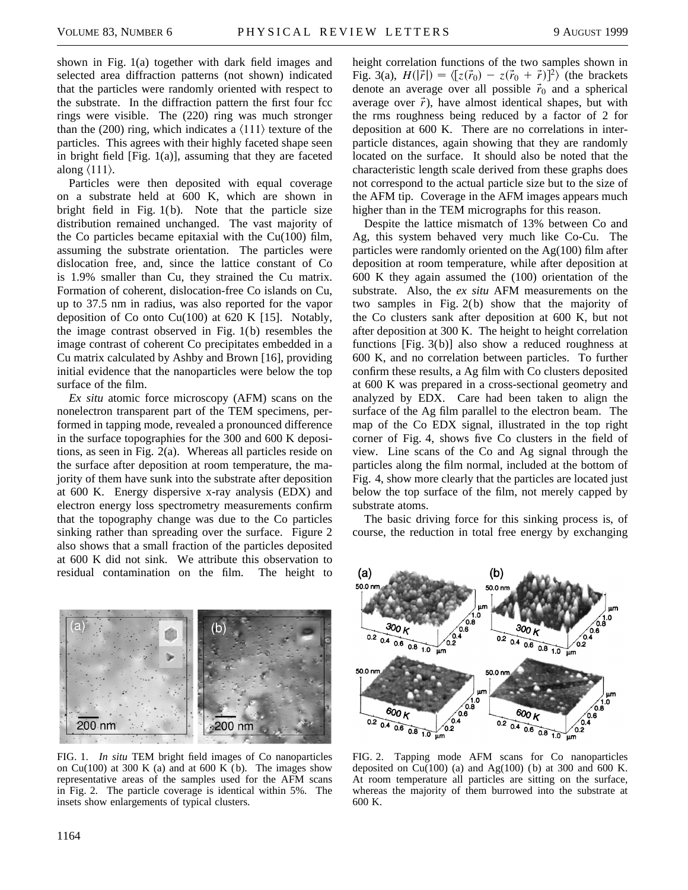shown in Fig. 1(a) together with dark field images and selected area diffraction patterns (not shown) indicated that the particles were randomly oriented with respect to the substrate. In the diffraction pattern the first four fcc rings were visible. The (220) ring was much stronger than the (200) ring, which indicates a  $\langle 111 \rangle$  texture of the particles. This agrees with their highly faceted shape seen in bright field [Fig. 1(a)], assuming that they are faceted along  $\langle 111 \rangle$ .

Particles were then deposited with equal coverage on a substrate held at 600 K, which are shown in bright field in Fig. 1(b). Note that the particle size distribution remained unchanged. The vast majority of the Co particles became epitaxial with the  $Cu(100)$  film, assuming the substrate orientation. The particles were dislocation free, and, since the lattice constant of Co is 1.9% smaller than Cu, they strained the Cu matrix. Formation of coherent, dislocation-free Co islands on Cu, up to 37.5 nm in radius, was also reported for the vapor deposition of Co onto Cu(100) at  $620 \text{ K}$  [15]. Notably, the image contrast observed in Fig. 1(b) resembles the image contrast of coherent Co precipitates embedded in a Cu matrix calculated by Ashby and Brown [16], providing initial evidence that the nanoparticles were below the top surface of the film.

*Ex situ* atomic force microscopy (AFM) scans on the nonelectron transparent part of the TEM specimens, performed in tapping mode, revealed a pronounced difference in the surface topographies for the 300 and 600 K depositions, as seen in Fig. 2(a). Whereas all particles reside on the surface after deposition at room temperature, the majority of them have sunk into the substrate after deposition at 600 K. Energy dispersive x-ray analysis (EDX) and electron energy loss spectrometry measurements confirm that the topography change was due to the Co particles sinking rather than spreading over the surface. Figure 2 also shows that a small fraction of the particles deposited at 600 K did not sink. We attribute this observation to residual contamination on the film. The height to



FIG. 1. *In situ* TEM bright field images of Co nanoparticles on Cu(100) at 300 K (a) and at 600 K (b). The images show representative areas of the samples used for the AFM scans in Fig. 2. The particle coverage is identical within 5%. The insets show enlargements of typical clusters.

height correlation functions of the two samples shown in Fig. 3(a),  $H(|\vec{r}|) = \langle [z(\vec{r}_0) - z(\vec{r}_0 + \vec{r})]^2 \rangle$  (the brackets denote an average over all possible  $\vec{r}_0$  and a spherical average over  $\vec{r}$ ), have almost identical shapes, but with the rms roughness being reduced by a factor of 2 for deposition at 600 K. There are no correlations in interparticle distances, again showing that they are randomly located on the surface. It should also be noted that the characteristic length scale derived from these graphs does not correspond to the actual particle size but to the size of the AFM tip. Coverage in the AFM images appears much higher than in the TEM micrographs for this reason.

Despite the lattice mismatch of 13% between Co and Ag, this system behaved very much like Co-Cu. The particles were randomly oriented on the Ag(100) film after deposition at room temperature, while after deposition at 600 K they again assumed the (100) orientation of the substrate. Also, the *ex situ* AFM measurements on the two samples in Fig. 2(b) show that the majority of the Co clusters sank after deposition at 600 K, but not after deposition at 300 K. The height to height correlation functions [Fig. 3(b)] also show a reduced roughness at 600 K, and no correlation between particles. To further confirm these results, a Ag film with Co clusters deposited at 600 K was prepared in a cross-sectional geometry and analyzed by EDX. Care had been taken to align the surface of the Ag film parallel to the electron beam. The map of the Co EDX signal, illustrated in the top right corner of Fig. 4, shows five Co clusters in the field of view. Line scans of the Co and Ag signal through the particles along the film normal, included at the bottom of Fig. 4, show more clearly that the particles are located just below the top surface of the film, not merely capped by substrate atoms.

The basic driving force for this sinking process is, of course, the reduction in total free energy by exchanging



FIG. 2. Tapping mode AFM scans for Co nanoparticles deposited on  $Cu(100)$  (a) and Ag $(100)$  (b) at 300 and 600 K. At room temperature all particles are sitting on the surface, whereas the majority of them burrowed into the substrate at 600 K.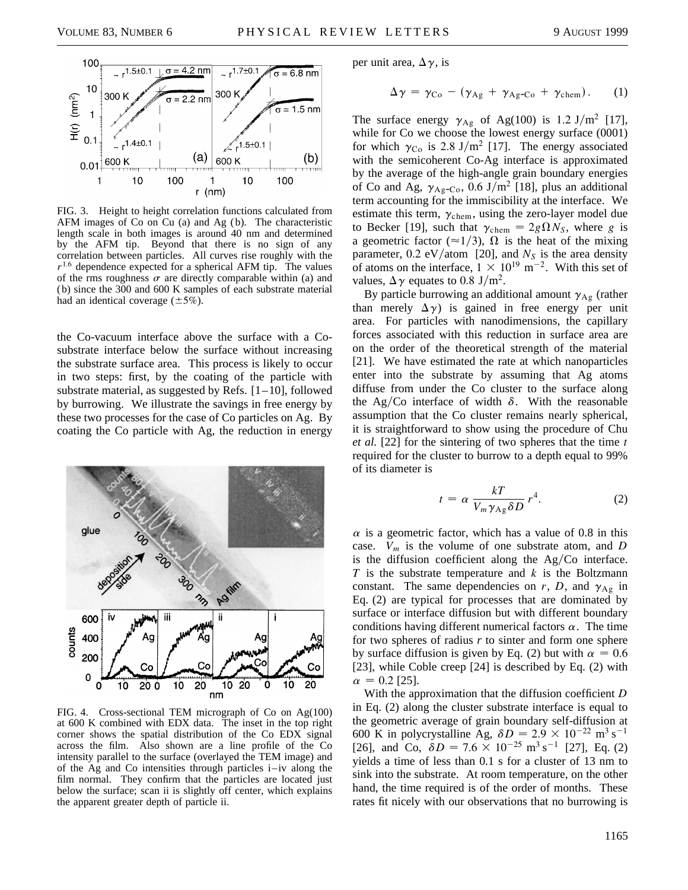

FIG. 3. Height to height correlation functions calculated from AFM images of Co on Cu (a) and Ag (b). The characteristic length scale in both images is around 40 nm and determined by the AFM tip. Beyond that there is no sign of any correlation between particles. All curves rise roughly with the  $r^{1.6}$  dependence expected for a spherical AFM tip. The values of the rms roughness  $\sigma$  are directly comparable within (a) and (b) since the 300 and 600 K samples of each substrate material had an identical coverage  $(\pm 5\%)$ .

the Co-vacuum interface above the surface with a Cosubstrate interface below the surface without increasing the substrate surface area. This process is likely to occur in two steps: first, by the coating of the particle with substrate material, as suggested by Refs.  $[1-10]$ , followed by burrowing. We illustrate the savings in free energy by these two processes for the case of Co particles on Ag. By coating the Co particle with Ag, the reduction in energy



FIG. 4. Cross-sectional TEM micrograph of Co on Ag(100) at 600 K combined with EDX data. The inset in the top right corner shows the spatial distribution of the Co EDX signal across the film. Also shown are a line profile of the Co intensity parallel to the surface (overlayed the TEM image) and of the Ag and Co intensities through particles i–iv along the film normal. They confirm that the particles are located just below the surface; scan ii is slightly off center, which explains the apparent greater depth of particle ii.

per unit area,  $\Delta \gamma$ , is

$$
\Delta \gamma = \gamma_{\text{Co}} - (\gamma_{\text{Ag}} + \gamma_{\text{Ag-Co}} + \gamma_{\text{chem}}). \qquad (1)
$$

The surface energy  $\gamma_{\text{Ag}}$  of Ag(100) is 1.2 J/m<sup>2</sup> [17], while for Co we choose the lowest energy surface (0001) for which  $\gamma_{\text{Co}}$  is 2.8 J/m<sup>2</sup> [17]. The energy associated with the semicoherent Co-Ag interface is approximated by the average of the high-angle grain boundary energies of Co and Ag,  $\gamma_{\text{Ag-Co}}$ , 0.6 J/m<sup>2</sup> [18], plus an additional term accounting for the immiscibility at the interface. We estimate this term,  $\gamma_{\rm chem}$ , using the zero-layer model due to Becker [19], such that  $\gamma_{\text{chem}} = 2g\Omega N_S$ , where *g* is a geometric factor ( $\approx$ 1/3),  $\Omega$  is the heat of the mixing parameter,  $0.2 \text{ eV/atom}$  [20], and  $N<sub>S</sub>$  is the area density of atoms on the interface,  $1 \times 10^{19}$  m<sup>-2</sup>. With this set of values,  $\Delta \gamma$  equates to 0.8 J/m<sup>2</sup>.

By particle burrowing an additional amount  $\gamma_{\text{Ag}}$  (rather than merely  $\Delta \gamma$  is gained in free energy per unit area. For particles with nanodimensions, the capillary forces associated with this reduction in surface area are on the order of the theoretical strength of the material [21]. We have estimated the rate at which nanoparticles enter into the substrate by assuming that Ag atoms diffuse from under the Co cluster to the surface along the Ag/Co interface of width  $\delta$ . With the reasonable assumption that the Co cluster remains nearly spherical, it is straightforward to show using the procedure of Chu *et al.* [22] for the sintering of two spheres that the time *t* required for the cluster to burrow to a depth equal to 99% of its diameter is

$$
t = \alpha \frac{kT}{V_m \gamma_{\text{Ag}} \delta D} r^4. \tag{2}
$$

 $\alpha$  is a geometric factor, which has a value of 0.8 in this case. *Vm* is the volume of one substrate atom, and *D* is the diffusion coefficient along the  $Ag/Co$  interface. *T* is the substrate temperature and *k* is the Boltzmann constant. The same dependencies on  $r$ ,  $D$ , and  $\gamma_{Ag}$  in Eq. (2) are typical for processes that are dominated by surface or interface diffusion but with different boundary conditions having different numerical factors  $\alpha$ . The time for two spheres of radius *r* to sinter and form one sphere by surface diffusion is given by Eq. (2) but with  $\alpha = 0.6$ [23], while Coble creep [24] is described by Eq. (2) with  $\alpha = 0.2$  [25].

With the approximation that the diffusion coefficient *D* in Eq. (2) along the cluster substrate interface is equal to the geometric average of grain boundary self-diffusion at 600 K in polycrystalline Ag,  $\delta D = 2.9 \times 10^{-22}$  m<sup>3</sup> s<sup>-1</sup> [26], and Co,  $\delta D = 7.6 \times 10^{-25}$  m<sup>3</sup> s<sup>-1</sup> [27], Eq. (2) yields a time of less than 0.1 s for a cluster of 13 nm to sink into the substrate. At room temperature, on the other hand, the time required is of the order of months. These rates fit nicely with our observations that no burrowing is